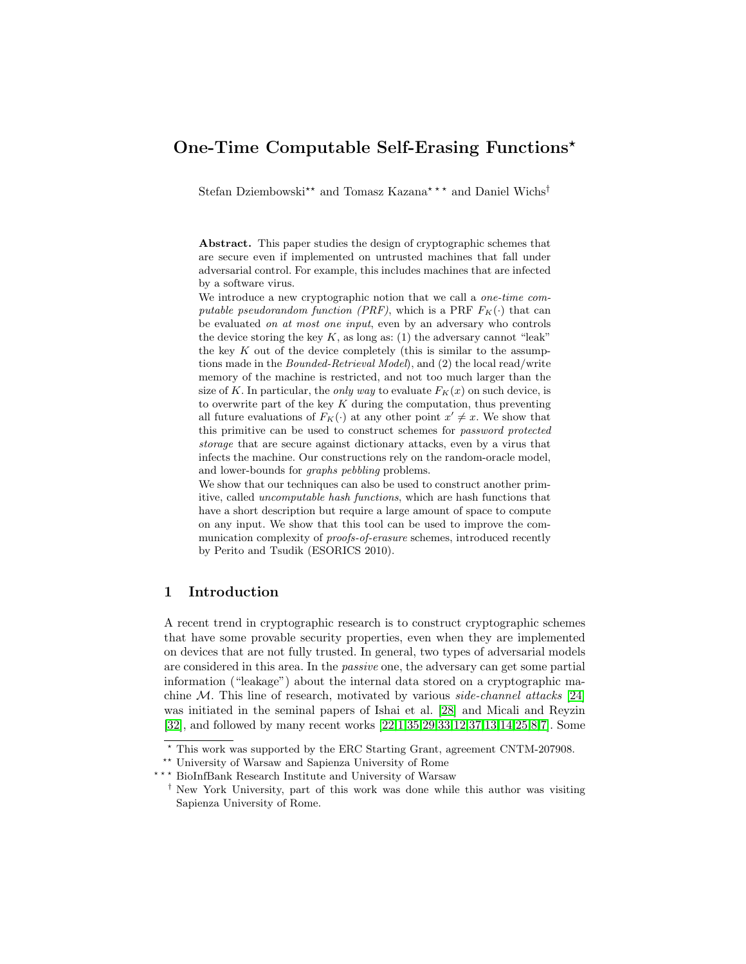# One-Time Computable Self-Erasing Functions?

Stefan Dziembowski<sup>\*\*</sup> and Tomasz Kazana<sup>\*\*\*</sup> and Daniel Wichs<sup>†</sup>

Abstract. This paper studies the design of cryptographic schemes that are secure even if implemented on untrusted machines that fall under adversarial control. For example, this includes machines that are infected by a software virus.

We introduce a new cryptographic notion that we call a *one-time com*putable pseudorandom function (PRF), which is a PRF  $F_K(\cdot)$  that can be evaluated *on at most one input*, even by an adversary who controls the device storing the key  $K$ , as long as: (1) the adversary cannot "leak" the key  $K$  out of the device completely (this is similar to the assumptions made in the Bounded-Retrieval Model), and (2) the local read/write memory of the machine is restricted, and not too much larger than the size of K. In particular, the only way to evaluate  $F_K(x)$  on such device, is to overwrite part of the key  $K$  during the computation, thus preventing all future evaluations of  $F_K(\cdot)$  at any other point  $x' \neq x$ . We show that this primitive can be used to construct schemes for password protected storage that are secure against dictionary attacks, even by a virus that infects the machine. Our constructions rely on the random-oracle model, and lower-bounds for graphs pebbling problems.

We show that our techniques can also be used to construct another primitive, called uncomputable hash functions, which are hash functions that have a short description but require a large amount of space to compute on any input. We show that this tool can be used to improve the communication complexity of proofs-of-erasure schemes, introduced recently by Perito and Tsudik (ESORICS 2010).

## 1 Introduction

A recent trend in cryptographic research is to construct cryptographic schemes that have some provable security properties, even when they are implemented on devices that are not fully trusted. In general, two types of adversarial models are considered in this area. In the passive one, the adversary can get some partial information ("leakage") about the internal data stored on a cryptographic machine  $M$ . This line of research, motivated by various side-channel attacks [\[24\]](#page-17-0) was initiated in the seminal papers of Ishai et al. [\[28\]](#page-17-1) and Micali and Reyzin [\[32\]](#page-17-2), and followed by many recent works [\[22,](#page-17-3)[1](#page-16-0)[,35,](#page-17-4)[29,](#page-17-5)[33,](#page-17-6)[12](#page-16-1)[,37,](#page-17-7)[13,](#page-17-8)[14,](#page-17-9)[25,](#page-17-10)[8,](#page-16-2)[7\]](#page-16-3). Some

<sup>?</sup> This work was supported by the ERC Starting Grant, agreement CNTM-207908.

<sup>\*\*</sup> University of Warsaw and Sapienza University of Rome

<sup>\*\*\*</sup> BioInfBank Research Institute and University of Warsaw

<sup>†</sup> New York University, part of this work was done while this author was visiting Sapienza University of Rome.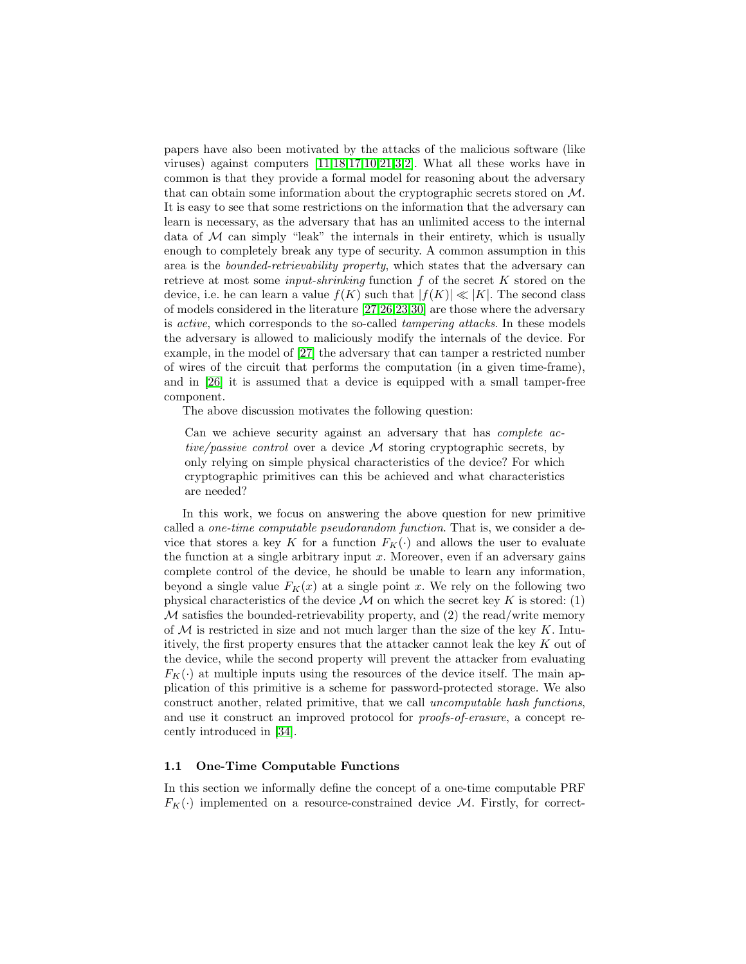papers have also been motivated by the attacks of the malicious software (like viruses) against computers [\[11,](#page-16-4)[18,](#page-17-11)[17](#page-17-12)[,10,](#page-16-5)[21,](#page-17-13)[3,](#page-16-6)[2\]](#page-16-7). What all these works have in common is that they provide a formal model for reasoning about the adversary that can obtain some information about the cryptographic secrets stored on M. It is easy to see that some restrictions on the information that the adversary can learn is necessary, as the adversary that has an unlimited access to the internal data of  $M$  can simply "leak" the internals in their entirety, which is usually enough to completely break any type of security. A common assumption in this area is the bounded-retrievability property, which states that the adversary can retrieve at most some *input-shrinking* function  $f$  of the secret  $K$  stored on the device, i.e. he can learn a value  $f(K)$  such that  $|f(K)| \ll |K|$ . The second class of models considered in the literature [\[27](#page-17-14)[,26,](#page-17-15)[23,](#page-17-16)[30\]](#page-17-17) are those where the adversary is active, which corresponds to the so-called tampering attacks. In these models the adversary is allowed to maliciously modify the internals of the device. For example, in the model of [\[27\]](#page-17-14) the adversary that can tamper a restricted number of wires of the circuit that performs the computation (in a given time-frame), and in [\[26\]](#page-17-15) it is assumed that a device is equipped with a small tamper-free component.

The above discussion motivates the following question:

Can we achieve security against an adversary that has complete active/passive control over a device M storing cryptographic secrets, by only relying on simple physical characteristics of the device? For which cryptographic primitives can this be achieved and what characteristics are needed?

In this work, we focus on answering the above question for new primitive called a one-time computable pseudorandom function. That is, we consider a device that stores a key K for a function  $F_K(\cdot)$  and allows the user to evaluate the function at a single arbitrary input  $x$ . Moreover, even if an adversary gains complete control of the device, he should be unable to learn any information, beyond a single value  $F_K(x)$  at a single point x. We rely on the following two physical characteristics of the device  $\mathcal M$  on which the secret key K is stored: (1)  $M$  satisfies the bounded-retrievability property, and  $(2)$  the read/write memory of  $M$  is restricted in size and not much larger than the size of the key  $K$ . Intuitively, the first property ensures that the attacker cannot leak the key K out of the device, while the second property will prevent the attacker from evaluating  $F_K(\cdot)$  at multiple inputs using the resources of the device itself. The main application of this primitive is a scheme for password-protected storage. We also construct another, related primitive, that we call uncomputable hash functions, and use it construct an improved protocol for proofs-of-erasure, a concept recently introduced in [\[34\]](#page-17-18).

#### 1.1 One-Time Computable Functions

In this section we informally define the concept of a one-time computable PRF  $F_K(\cdot)$  implemented on a resource-constrained device M. Firstly, for correct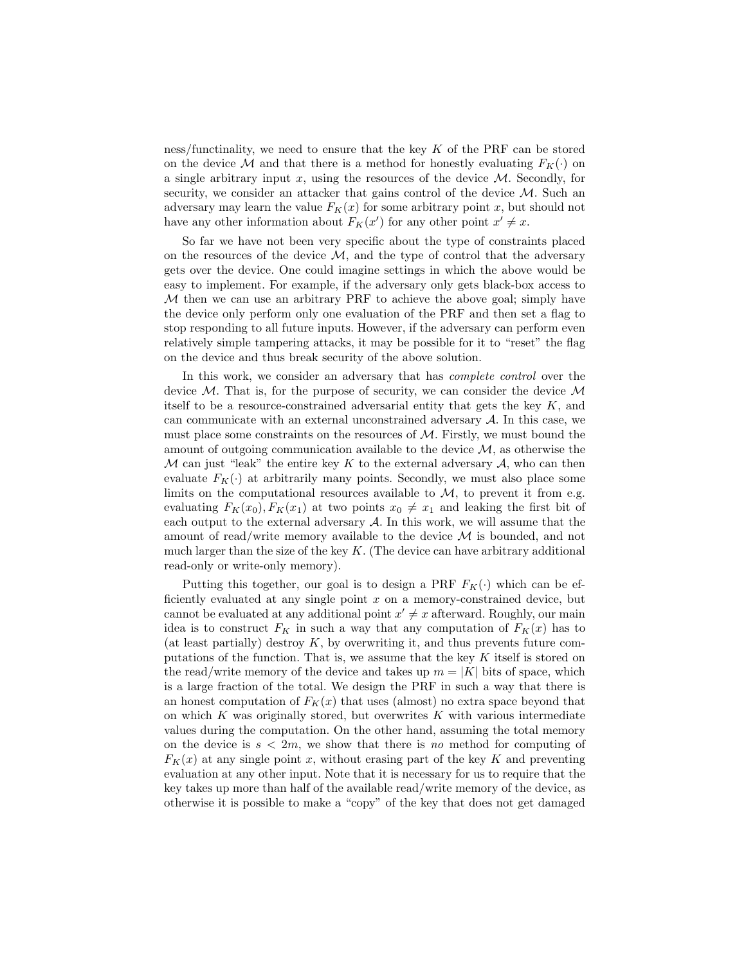ness/functinality, we need to ensure that the key  $K$  of the PRF can be stored on the device M and that there is a method for honestly evaluating  $F_K(\cdot)$  on a single arbitrary input  $x$ , using the resources of the device  $M$ . Secondly, for security, we consider an attacker that gains control of the device  $M$ . Such an adversary may learn the value  $F_K(x)$  for some arbitrary point x, but should not have any other information about  $F_K(x')$  for any other point  $x' \neq x$ .

So far we have not been very specific about the type of constraints placed on the resources of the device  $M$ , and the type of control that the adversary gets over the device. One could imagine settings in which the above would be easy to implement. For example, if the adversary only gets black-box access to  $M$  then we can use an arbitrary PRF to achieve the above goal; simply have the device only perform only one evaluation of the PRF and then set a flag to stop responding to all future inputs. However, if the adversary can perform even relatively simple tampering attacks, it may be possible for it to "reset" the flag on the device and thus break security of the above solution.

In this work, we consider an adversary that has *complete control* over the device  $\mathcal M$ . That is, for the purpose of security, we can consider the device  $\mathcal M$ itself to be a resource-constrained adversarial entity that gets the key  $K$ , and can communicate with an external unconstrained adversary  $A$ . In this case, we must place some constraints on the resources of  $M$ . Firstly, we must bound the amount of outgoing communication available to the device  $\mathcal{M}$ , as otherwise the  $M$  can just "leak" the entire key K to the external adversary  $A$ , who can then evaluate  $F_K(\cdot)$  at arbitrarily many points. Secondly, we must also place some limits on the computational resources available to  $M$ , to prevent it from e.g. evaluating  $F_K(x_0), F_K(x_1)$  at two points  $x_0 \neq x_1$  and leaking the first bit of each output to the external adversary  $A$ . In this work, we will assume that the amount of read/write memory available to the device  $\mathcal M$  is bounded, and not much larger than the size of the key  $K$ . (The device can have arbitrary additional read-only or write-only memory).

Putting this together, our goal is to design a PRF  $F_K(\cdot)$  which can be efficiently evaluated at any single point  $x$  on a memory-constrained device, but cannot be evaluated at any additional point  $x' \neq x$  afterward. Roughly, our main idea is to construct  $F_K$  in such a way that any computation of  $F_K(x)$  has to (at least partially) destroy  $K$ , by overwriting it, and thus prevents future computations of the function. That is, we assume that the key  $K$  itself is stored on the read/write memory of the device and takes up  $m = |K|$  bits of space, which is a large fraction of the total. We design the PRF in such a way that there is an honest computation of  $F_K(x)$  that uses (almost) no extra space beyond that on which  $K$  was originally stored, but overwrites  $K$  with various intermediate values during the computation. On the other hand, assuming the total memory on the device is  $s < 2m$ , we show that there is no method for computing of  $F_K(x)$  at any single point x, without erasing part of the key K and preventing evaluation at any other input. Note that it is necessary for us to require that the key takes up more than half of the available read/write memory of the device, as otherwise it is possible to make a "copy" of the key that does not get damaged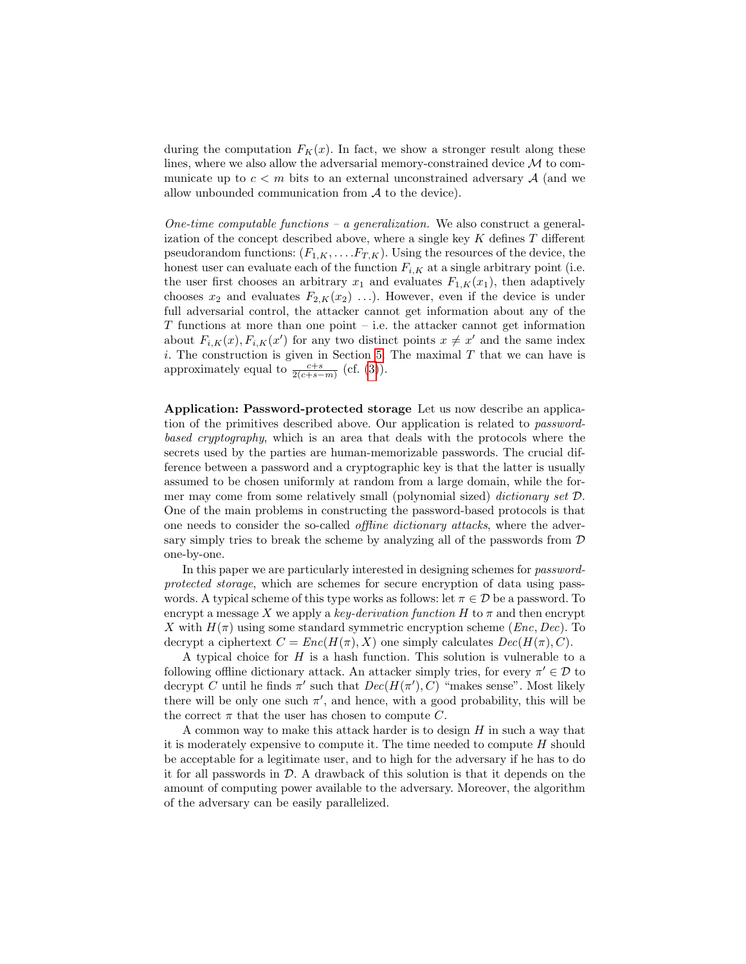during the computation  $F_K(x)$ . In fact, we show a stronger result along these lines, where we also allow the adversarial memory-constrained device  $\mathcal M$  to communicate up to  $c < m$  bits to an external unconstrained adversary  $A$  (and we allow unbounded communication from  $A$  to the device).

One-time computable functions – a generalization. We also construct a generalization of the concept described above, where a single key  $K$  defines  $T$  different pseudorandom functions:  $(F_{1,K}, \ldots, F_{T,K})$ . Using the resources of the device, the honest user can evaluate each of the function  $F_{i,K}$  at a single arbitrary point (i.e. the user first chooses an arbitrary  $x_1$  and evaluates  $F_{1,K}(x_1)$ , then adaptively chooses  $x_2$  and evaluates  $F_{2,K}(x_2)$  ...). However, even if the device is under full adversarial control, the attacker cannot get information about any of the  $T$  functions at more than one point – i.e. the attacker cannot get information about  $F_{i,K}(x), F_{i,K}(x')$  for any two distinct points  $x \neq x'$  and the same index i. The construction is given in Section [5.](#page-9-0) The maximal  $T$  that we can have is approximately equal to  $\frac{c+s}{2(c+s-m)}$  (cf. [\(3\)](#page-14-0)).

Application: Password-protected storage Let us now describe an application of the primitives described above. Our application is related to passwordbased cryptography, which is an area that deals with the protocols where the secrets used by the parties are human-memorizable passwords. The crucial difference between a password and a cryptographic key is that the latter is usually assumed to be chosen uniformly at random from a large domain, while the former may come from some relatively small (polynomial sized) dictionary set D. One of the main problems in constructing the password-based protocols is that one needs to consider the so-called offline dictionary attacks, where the adversary simply tries to break the scheme by analyzing all of the passwords from  $D$ one-by-one.

In this paper we are particularly interested in designing schemes for passwordprotected storage, which are schemes for secure encryption of data using passwords. A typical scheme of this type works as follows: let  $\pi \in \mathcal{D}$  be a password. To encrypt a message X we apply a key-derivation function H to  $\pi$  and then encrypt X with  $H(\pi)$  using some standard symmetric encryption scheme (*Enc*, *Dec*). To decrypt a ciphertext  $C = Enc(H(\pi), X)$  one simply calculates  $Dec(H(\pi), C)$ .

A typical choice for  $H$  is a hash function. This solution is vulnerable to a following offline dictionary attack. An attacker simply tries, for every  $\pi' \in \mathcal{D}$  to decrypt C until he finds  $\pi'$  such that  $Dec(H(\pi'), C)$  "makes sense". Most likely there will be only one such  $\pi'$ , and hence, with a good probability, this will be the correct  $\pi$  that the user has chosen to compute C.

A common way to make this attack harder is to design  $H$  in such a way that it is moderately expensive to compute it. The time needed to compute H should be acceptable for a legitimate user, and to high for the adversary if he has to do it for all passwords in  $\mathcal{D}$ . A drawback of this solution is that it depends on the amount of computing power available to the adversary. Moreover, the algorithm of the adversary can be easily parallelized.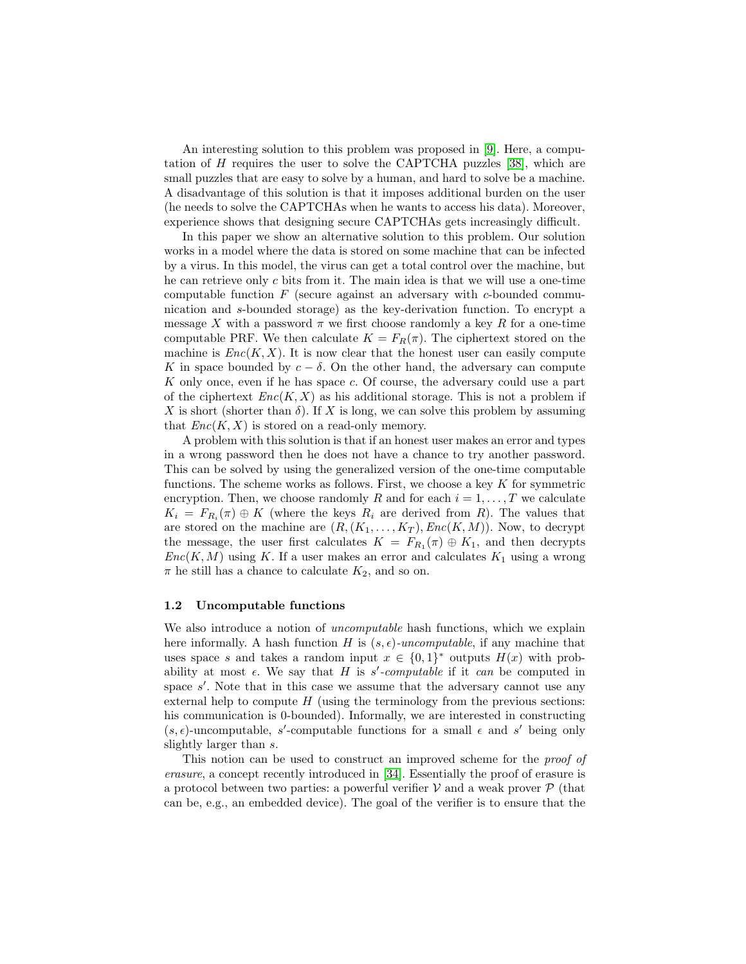An interesting solution to this problem was proposed in [\[9\]](#page-16-8). Here, a computation of  $H$  requires the user to solve the CAPTCHA puzzles [\[38\]](#page-17-19), which are small puzzles that are easy to solve by a human, and hard to solve be a machine. A disadvantage of this solution is that it imposes additional burden on the user (he needs to solve the CAPTCHAs when he wants to access his data). Moreover, experience shows that designing secure CAPTCHAs gets increasingly difficult.

In this paper we show an alternative solution to this problem. Our solution works in a model where the data is stored on some machine that can be infected by a virus. In this model, the virus can get a total control over the machine, but he can retrieve only c bits from it. The main idea is that we will use a one-time computable function  $F$  (secure against an adversary with  $c$ -bounded communication and s-bounded storage) as the key-derivation function. To encrypt a message X with a password  $\pi$  we first choose randomly a key R for a one-time computable PRF. We then calculate  $K = F_R(\pi)$ . The ciphertext stored on the machine is  $Enc(K, X)$ . It is now clear that the honest user can easily compute K in space bounded by  $c - \delta$ . On the other hand, the adversary can compute K only once, even if he has space c. Of course, the adversary could use a part of the ciphertext  $Enc(K, X)$  as his additional storage. This is not a problem if X is short (shorter than  $\delta$ ). If X is long, we can solve this problem by assuming that  $Enc(K, X)$  is stored on a read-only memory.

A problem with this solution is that if an honest user makes an error and types in a wrong password then he does not have a chance to try another password. This can be solved by using the generalized version of the one-time computable functions. The scheme works as follows. First, we choose a key  $K$  for symmetric encryption. Then, we choose randomly R and for each  $i = 1, \ldots, T$  we calculate  $K_i = F_{R_i}(\pi) \oplus K$  (where the keys  $R_i$  are derived from R). The values that are stored on the machine are  $(R, (K_1, \ldots, K_T), Enc(K, M))$ . Now, to decrypt the message, the user first calculates  $K = F_{R_1}(\pi) \oplus K_1$ , and then decrypts  $Enc(K, M)$  using K. If a user makes an error and calculates  $K_1$  using a wrong  $\pi$  he still has a chance to calculate  $K_2$ , and so on.

### 1.2 Uncomputable functions

We also introduce a notion of *uncomputable* hash functions, which we explain here informally. A hash function H is  $(s, \epsilon)$ -uncomputable, if any machine that uses space s and takes a random input  $x \in \{0,1\}^*$  outputs  $H(x)$  with probability at most  $\epsilon$ . We say that H is s'-computable if it can be computed in space  $s'$ . Note that in this case we assume that the adversary cannot use any external help to compute  $H$  (using the terminology from the previous sections: his communication is 0-bounded). Informally, we are interested in constructing  $(s, \epsilon)$ -uncomputable, s'-computable functions for a small  $\epsilon$  and s' being only slightly larger than s.

This notion can be used to construct an improved scheme for the proof of erasure, a concept recently introduced in [\[34\]](#page-17-18). Essentially the proof of erasure is a protocol between two parties: a powerful verifier  $V$  and a weak prover  $P$  (that can be, e.g., an embedded device). The goal of the verifier is to ensure that the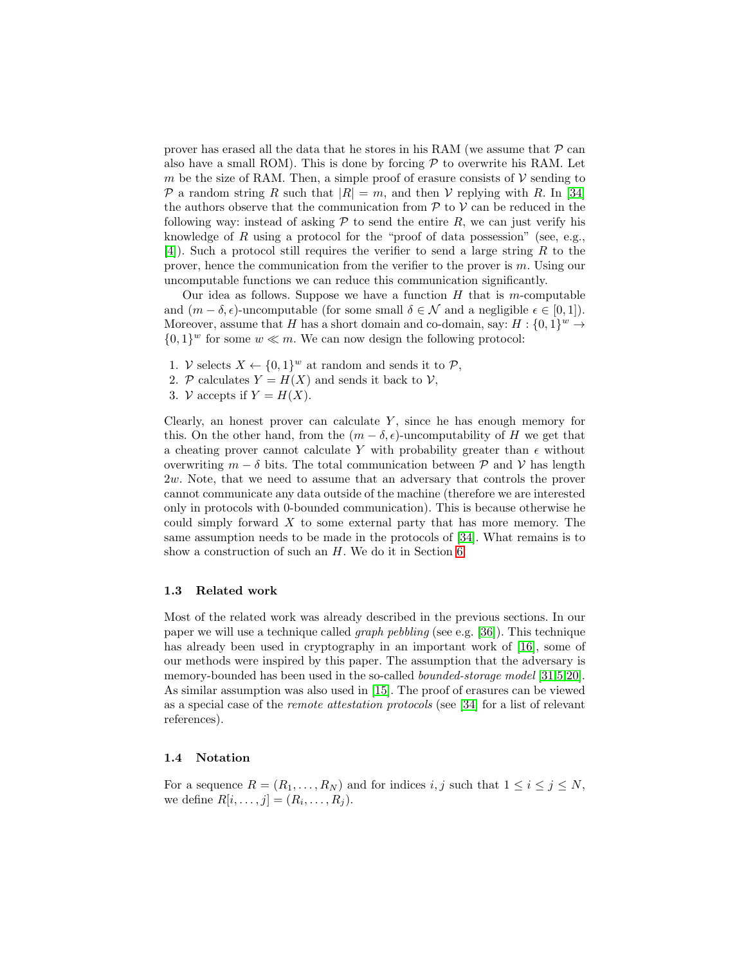prover has erased all the data that he stores in his RAM (we assume that  $P$  can also have a small ROM). This is done by forcing  $P$  to overwrite his RAM. Let m be the size of RAM. Then, a simple proof of erasure consists of  $\mathcal V$  sending to P a random string R such that  $|R| = m$ , and then V replying with R. In [\[34\]](#page-17-18) the authors observe that the communication from  $P$  to  $V$  can be reduced in the following way: instead of asking  $P$  to send the entire  $R$ , we can just verify his knowledge of R using a protocol for the "proof of data possession" (see, e.g.,  $[4]$ . Such a protocol still requires the verifier to send a large string R to the prover, hence the communication from the verifier to the prover is  $m$ . Using our uncomputable functions we can reduce this communication significantly.

Our idea as follows. Suppose we have a function  $H$  that is m-computable and  $(m - \delta, \epsilon)$ -uncomputable (for some small  $\delta \in \mathcal{N}$  and a negligible  $\epsilon \in [0, 1]$ ). Moreover, assume that H has a short domain and co-domain, say:  $H: \{0,1\}^w \to$  $\{0,1\}^w$  for some  $w \ll m$ . We can now design the following protocol:

- 1. V selects  $X \leftarrow \{0,1\}^w$  at random and sends it to  $\mathcal{P}$ ,
- 2. P calculates  $Y = H(X)$  and sends it back to  $\mathcal{V}$ ,
- 3. V accepts if  $Y = H(X)$ .

Clearly, an honest prover can calculate  $Y$ , since he has enough memory for this. On the other hand, from the  $(m - \delta, \epsilon)$ -uncomputability of H we get that a cheating prover cannot calculate Y with probability greater than  $\epsilon$  without overwriting  $m - \delta$  bits. The total communication between  $\mathcal{P}$  and  $\mathcal{V}$  has length 2w. Note, that we need to assume that an adversary that controls the prover cannot communicate any data outside of the machine (therefore we are interested only in protocols with 0-bounded communication). This is because otherwise he could simply forward  $X$  to some external party that has more memory. The same assumption needs to be made in the protocols of [\[34\]](#page-17-18). What remains is to show a construction of such an H. We do it in Section [6.](#page-15-0)

#### 1.3 Related work

Most of the related work was already described in the previous sections. In our paper we will use a technique called graph pebbling (see e.g. [\[36\]](#page-17-20)). This technique has already been used in cryptography in an important work of [\[16\]](#page-17-21), some of our methods were inspired by this paper. The assumption that the adversary is memory-bounded has been used in the so-called *bounded-storage model* [\[31,](#page-17-22)[5](#page-16-10)[,20\]](#page-17-23). As similar assumption was also used in [\[15\]](#page-17-24). The proof of erasures can be viewed as a special case of the remote attestation protocols (see [\[34\]](#page-17-18) for a list of relevant references).

### 1.4 Notation

For a sequence  $R = (R_1, \ldots, R_N)$  and for indices i, j such that  $1 \leq i \leq j \leq N$ , we define  $R[i, \ldots, j] = (R_i, \ldots, R_j)$ .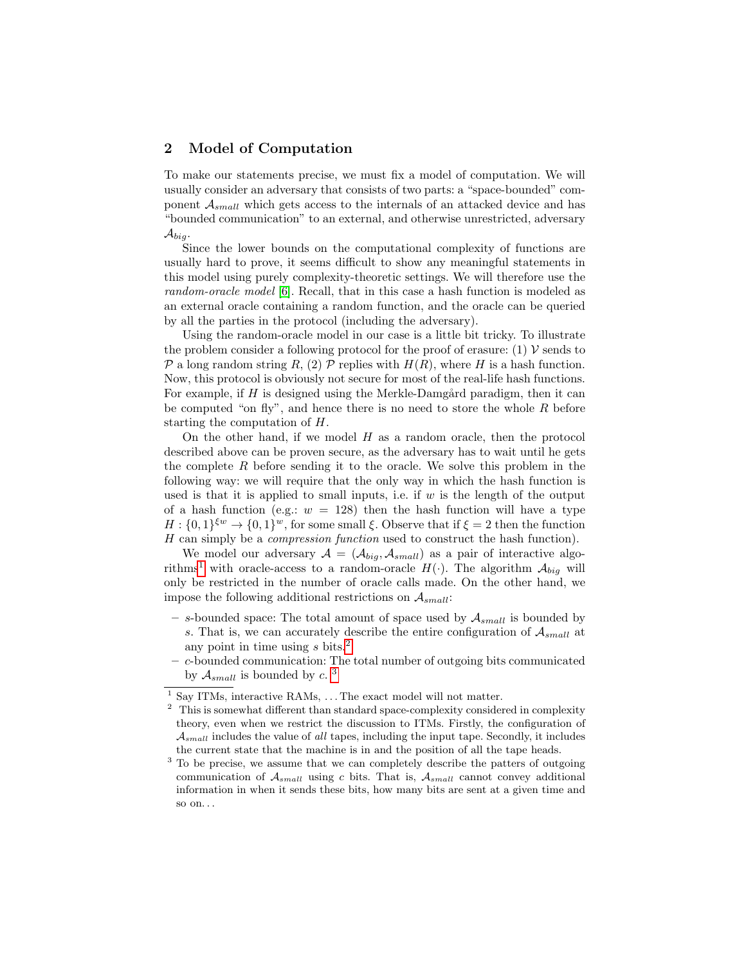## 2 Model of Computation

To make our statements precise, we must fix a model of computation. We will usually consider an adversary that consists of two parts: a "space-bounded" component  $A_{small}$  which gets access to the internals of an attacked device and has "bounded communication" to an external, and otherwise unrestricted, adversary  $\mathcal{A}_{big}$ .

Since the lower bounds on the computational complexity of functions are usually hard to prove, it seems difficult to show any meaningful statements in this model using purely complexity-theoretic settings. We will therefore use the random-oracle model [\[6\]](#page-16-11). Recall, that in this case a hash function is modeled as an external oracle containing a random function, and the oracle can be queried by all the parties in the protocol (including the adversary).

Using the random-oracle model in our case is a little bit tricky. To illustrate the problem consider a following protocol for the proof of erasure: (1)  $\mathcal V$  sends to  $\mathcal P$  a long random string R, (2)  $\mathcal P$  replies with  $H(R)$ , where H is a hash function. Now, this protocol is obviously not secure for most of the real-life hash functions. For example, if  $H$  is designed using the Merkle-Damgård paradigm, then it can be computed "on fly", and hence there is no need to store the whole  $R$  before starting the computation of H.

On the other hand, if we model  $H$  as a random oracle, then the protocol described above can be proven secure, as the adversary has to wait until he gets the complete  $R$  before sending it to the oracle. We solve this problem in the following way: we will require that the only way in which the hash function is used is that it is applied to small inputs, i.e. if  $w$  is the length of the output of a hash function (e.g.:  $w = 128$ ) then the hash function will have a type  $H: \{0,1\}^{\xi w} \to \{0,1\}^w$ , for some small  $\xi$ . Observe that if  $\xi = 2$  then the function H can simply be a compression function used to construct the hash function).

We model our adversary  $A = (A_{big}, A_{small})$  as a pair of interactive algo-rithms<sup>[1](#page-6-0)</sup> with oracle-access to a random-oracle  $H(\cdot)$ . The algorithm  $\mathcal{A}_{big}$  will only be restricted in the number of oracle calls made. On the other hand, we impose the following additional restrictions on  $\mathcal{A}_{small}$ :

- s-bounded space: The total amount of space used by  $\mathcal{A}_{small}$  is bounded by s. That is, we can accurately describe the entire configuration of  $A_{small}$  at any point in time using s bits.<sup>[2](#page-6-1)</sup>
- c-bounded communication: The total number of outgoing bits communicated by  $A_{small}$  is bounded by c.<sup>[3](#page-6-2)</sup>

<span id="page-6-0"></span> $\frac{1}{1}$  Say ITMs, interactive RAMs, ... The exact model will not matter.

<span id="page-6-1"></span><sup>&</sup>lt;sup>2</sup> This is somewhat different than standard space-complexity considered in complexity theory, even when we restrict the discussion to ITMs. Firstly, the configuration of  $\mathcal{A}_{small}$  includes the value of all tapes, including the input tape. Secondly, it includes the current state that the machine is in and the position of all the tape heads.

<span id="page-6-2"></span><sup>&</sup>lt;sup>3</sup> To be precise, we assume that we can completely describe the patters of outgoing communication of  $A_{small}$  using c bits. That is,  $A_{small}$  cannot convey additional information in when it sends these bits, how many bits are sent at a given time and so on. . .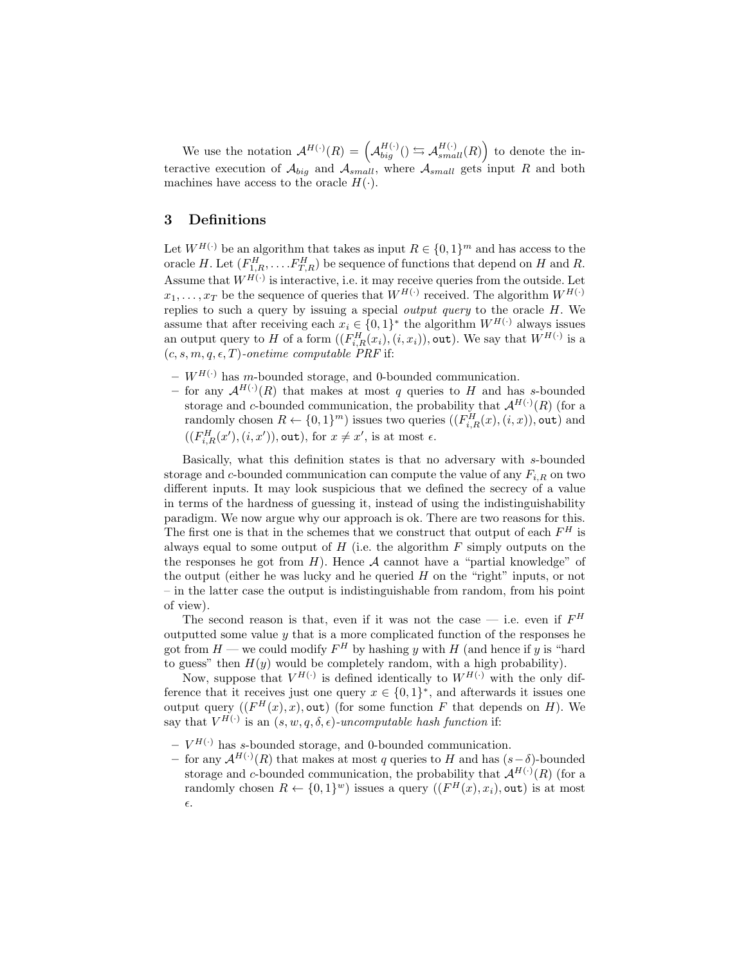We use the notation  $\mathcal{A}^{H(\cdot)}(R) = \left(\mathcal{A}_{big}^{H(\cdot)}(s) \leftrightarrows \mathcal{A}_{small}^{H(\cdot)}(R)\right)$  to denote the interactive execution of  $\mathcal{A}_{big}$  and  $\mathcal{A}_{small}$ , where  $\mathcal{A}_{small}$  gets input R and both machines have access to the oracle  $H(\cdot)$ .

## 3 Definitions

Let  $W^{H(\cdot)}$  be an algorithm that takes as input  $R \in \{0,1\}^m$  and has access to the oracle H. Let  $(F_{1,R}^H, \ldots, F_{T,R}^H)$  be sequence of functions that depend on H and R. Assume that  $W^{H(\cdot)}$  is interactive, i.e. it may receive queries from the outside. Let  $x_1, \ldots, x_T$  be the sequence of queries that  $W^{H(\cdot)}$  received. The algorithm  $W^{H(\cdot)}$ replies to such a query by issuing a special *output query* to the oracle  $H$ . We assume that after receiving each  $x_i \in \{0,1\}^*$  the algorithm  $W^{H(\cdot)}$  always issues an output query to H of a form  $((F_{i,R}^H(x_i), (i, x_i)),$  out). We say that  $W^{H(\cdot)}$  is a  $(c, s, m, q, \epsilon, T)$ -onetime computable PRF if:

- $W^{H(\cdot)}$  has m-bounded storage, and 0-bounded communication.
- for any  $\mathcal{A}^{H(\cdot)}(R)$  that makes at most q queries to H and has s-bounded storage and c-bounded communication, the probability that  $\mathcal{A}^{H(\cdot)}(R)$  (for a randomly chosen  $R \leftarrow \{0,1\}^m$ ) issues two queries  $((F_{i,R}^H(x), (i,x)), \text{out})$  and  $((F_{i,R}^H(x'),(i,x')),\text{out}), \text{ for } x \neq x', \text{ is at most } \epsilon.$

Basically, what this definition states is that no adversary with s-bounded storage and c-bounded communication can compute the value of any  $F_{i,R}$  on two different inputs. It may look suspicious that we defined the secrecy of a value in terms of the hardness of guessing it, instead of using the indistinguishability paradigm. We now argue why our approach is ok. There are two reasons for this. The first one is that in the schemes that we construct that output of each  $F^H$  is always equal to some output of  $H$  (i.e. the algorithm  $F$  simply outputs on the the responses he got from  $H$ ). Hence  $A$  cannot have a "partial knowledge" of the output (either he was lucky and he queried  $H$  on the "right" inputs, or not – in the latter case the output is indistinguishable from random, from his point of view).

The second reason is that, even if it was not the case — i.e. even if  $F^H$ outputted some value  $y$  that is a more complicated function of the responses he got from  $H$  — we could modify  $F^H$  by hashing y with H (and hence if y is "hard to guess" then  $H(y)$  would be completely random, with a high probability).

Now, suppose that  $V^{H(\cdot)}$  is defined identically to  $W^{H(\cdot)}$  with the only difference that it receives just one query  $x \in \{0,1\}^*$ , and afterwards it issues one output query  $((F^H(x), x), \text{out})$  (for some function F that depends on H). We say that  $V^{H(\cdot)}$  is an  $(s, w, q, \delta, \epsilon)$ -uncomputable hash function if:

- $-V^{H(\cdot)}$  has s-bounded storage, and 0-bounded communication.
- for any  $\mathcal{A}^{H(\cdot)}(R)$  that makes at most q queries to H and has  $(s-\delta)$ -bounded storage and c-bounded communication, the probability that  $\mathcal{A}^{H(\cdot)}(R)$  (for a randomly chosen  $R \leftarrow \{0,1\}^w$ ) issues a query  $((F^H(x), x_i), \text{out})$  is at most  $\epsilon$ .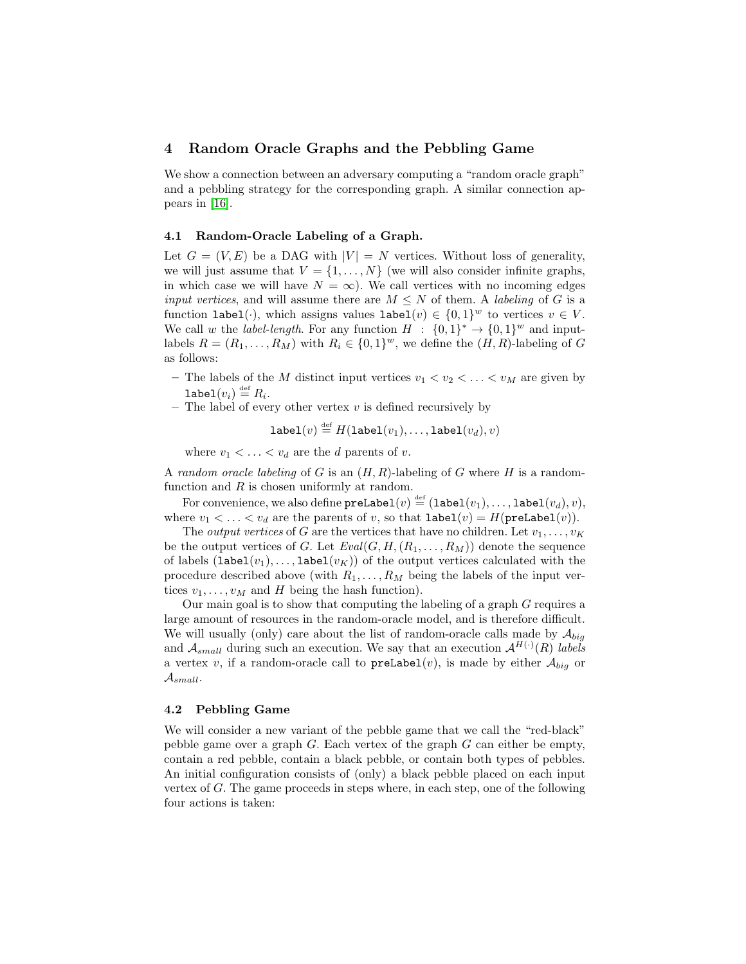## 4 Random Oracle Graphs and the Pebbling Game

We show a connection between an adversary computing a "random oracle graph" and a pebbling strategy for the corresponding graph. A similar connection appears in [\[16\]](#page-17-21).

#### 4.1 Random-Oracle Labeling of a Graph.

Let  $G = (V, E)$  be a DAG with  $|V| = N$  vertices. Without loss of generality, we will just assume that  $V = \{1, \ldots, N\}$  (we will also consider infinite graphs, in which case we will have  $N = \infty$ ). We call vertices with no incoming edges *input vertices*, and will assume there are  $M \leq N$  of them. A *labeling* of G is a function label( $\cdot$ ), which assigns values label( $v \in \{0,1\}^w$  to vertices  $v \in V$ . We call w the *label-length*. For any function  $H : \{0,1\}^* \to \{0,1\}^w$  and inputlabels  $R = (R_1, \ldots, R_M)$  with  $R_i \in \{0,1\}^w$ , we define the  $(H, R)$ -labeling of G as follows:

- The labels of the M distinct input vertices  $v_1 < v_2 < \ldots < v_M$  are given by  $\mathtt{label}(v_i) \stackrel{\text{\tiny def}}{=} R_i.$
- The label of every other vertex  $v$  is defined recursively by

 $\mathtt{label}(v) \stackrel{\text{def}}{=} H(\mathtt{label}(v_1),\ldots,\mathtt{label}(v_d),v)$ 

where  $v_1 < \ldots < v_d$  are the d parents of v.

A random oracle labeling of G is an  $(H, R)$ -labeling of G where H is a randomfunction and  $R$  is chosen uniformly at random.

For convenience, we also define  $\texttt{preLabel}(v) \stackrel{\textup{def}}{=} (\texttt{label}(v_1), \ldots, \texttt{label}(v_d), v),$ where  $v_1 < \ldots < v_d$  are the parents of v, so that  $label(v) = H(\text{preLabel}(v))$ .

The *output vertices* of G are the vertices that have no children. Let  $v_1, \ldots, v_K$ be the output vertices of G. Let  $Eval(G, H, (R_1, \ldots, R_M))$  denote the sequence of labels  $(\texttt{label}(v_1), \ldots, \texttt{label}(v_K))$  of the output vertices calculated with the procedure described above (with  $R_1, \ldots, R_M$  being the labels of the input vertices  $v_1, \ldots, v_M$  and H being the hash function).

Our main goal is to show that computing the labeling of a graph G requires a large amount of resources in the random-oracle model, and is therefore difficult. We will usually (only) care about the list of random-oracle calls made by  $\mathcal{A}_{biq}$ and  $\mathcal{A}_{small}$  during such an execution. We say that an execution  $\mathcal{A}^{H(\cdot)}(R)$  labels a vertex v, if a random-oracle call to  $preLabel(v)$ , is made by either  $\mathcal{A}_{big}$  or  $\mathcal{A}_{small}$ .

## <span id="page-8-0"></span>4.2 Pebbling Game

We will consider a new variant of the pebble game that we call the "red-black" pebble game over a graph  $G$ . Each vertex of the graph  $G$  can either be empty, contain a red pebble, contain a black pebble, or contain both types of pebbles. An initial configuration consists of (only) a black pebble placed on each input vertex of G. The game proceeds in steps where, in each step, one of the following four actions is taken: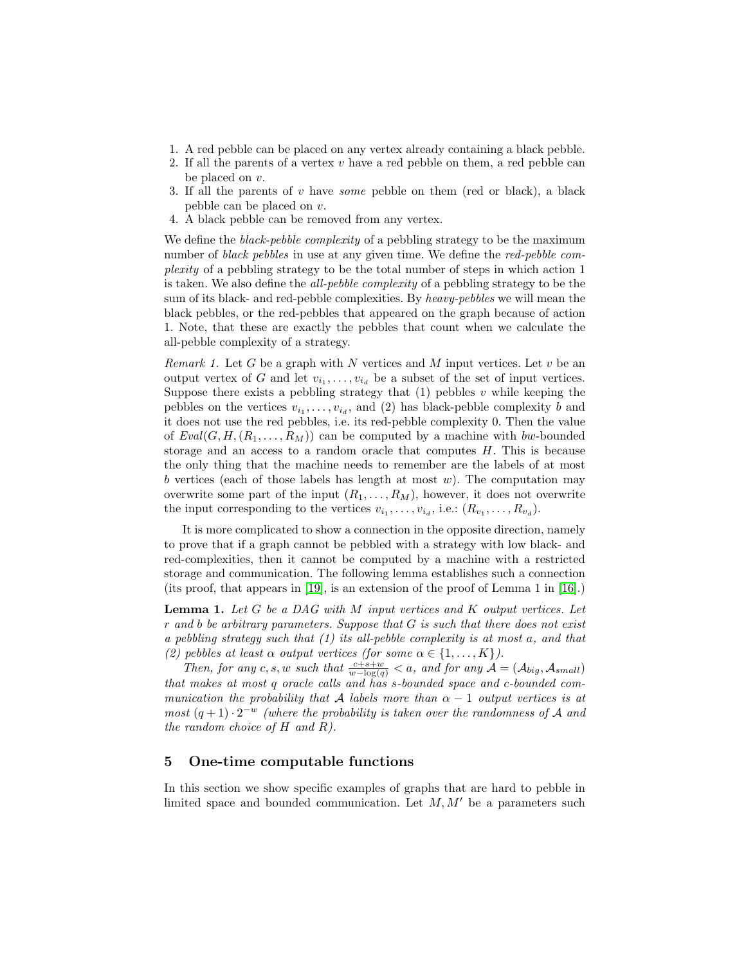- 1. A red pebble can be placed on any vertex already containing a black pebble.
- 2. If all the parents of a vertex  $v$  have a red pebble on them, a red pebble can be placed on v.
- 3. If all the parents of v have *some* pebble on them (red or black), a black pebble can be placed on v.
- 4. A black pebble can be removed from any vertex.

We define the *black-pebble complexity* of a pebbling strategy to be the maximum number of black pebbles in use at any given time. We define the red-pebble complexity of a pebbling strategy to be the total number of steps in which action 1 is taken. We also define the all-pebble complexity of a pebbling strategy to be the sum of its black- and red-pebble complexities. By heavy-pebbles we will mean the black pebbles, or the red-pebbles that appeared on the graph because of action 1. Note, that these are exactly the pebbles that count when we calculate the all-pebble complexity of a strategy.

<span id="page-9-2"></span>*Remark 1.* Let G be a graph with N vertices and M input vertices. Let v be an output vertex of G and let  $v_{i_1}, \ldots, v_{i_d}$  be a subset of the set of input vertices. Suppose there exists a pebbling strategy that  $(1)$  pebbles v while keeping the pebbles on the vertices  $v_{i_1}, \ldots, v_{i_d}$ , and (2) has black-pebble complexity b and it does not use the red pebbles, i.e. its red-pebble complexity 0. Then the value of  $Eval(G, H, (R_1, \ldots, R_M))$  can be computed by a machine with bw-bounded storage and an access to a random oracle that computes  $H$ . This is because the only thing that the machine needs to remember are the labels of at most b vertices (each of those labels has length at most  $w$ ). The computation may overwrite some part of the input  $(R_1, \ldots, R_M)$ , however, it does not overwrite the input corresponding to the vertices  $v_{i_1}, \ldots, v_{i_d}$ , i.e.:  $(R_{v_1}, \ldots, R_{v_d})$ .

It is more complicated to show a connection in the opposite direction, namely to prove that if a graph cannot be pebbled with a strategy with low black- and red-complexities, then it cannot be computed by a machine with a restricted storage and communication. The following lemma establishes such a connection (its proof, that appears in [\[19\]](#page-17-25), is an extension of the proof of Lemma 1 in [\[16\]](#page-17-21).)

<span id="page-9-1"></span>**Lemma 1.** Let  $G$  be a DAG with  $M$  input vertices and  $K$  output vertices. Let  $r$  and b be arbitrary parameters. Suppose that  $G$  is such that there does not exist a pebbling strategy such that  $(1)$  its all-pebble complexity is at most a, and that (2) pebbles at least  $\alpha$  output vertices (for some  $\alpha \in \{1, \ldots, K\}$ ).

Then, for any c, s, w such that  $\frac{c+s+w}{w-\log(q)} < a$ , and for any  $\mathcal{A} = (\mathcal{A}_{big}, \mathcal{A}_{small})$ that makes at most q oracle calls and has s-bounded space and c-bounded communication the probability that A labels more than  $\alpha - 1$  output vertices is at most  $(q+1) \cdot 2^{-w}$  (where the probability is taken over the randomness of A and the random choice of  $H$  and  $R$ ).

## <span id="page-9-0"></span>5 One-time computable functions

In this section we show specific examples of graphs that are hard to pebble in limited space and bounded communication. Let  $M, M'$  be a parameters such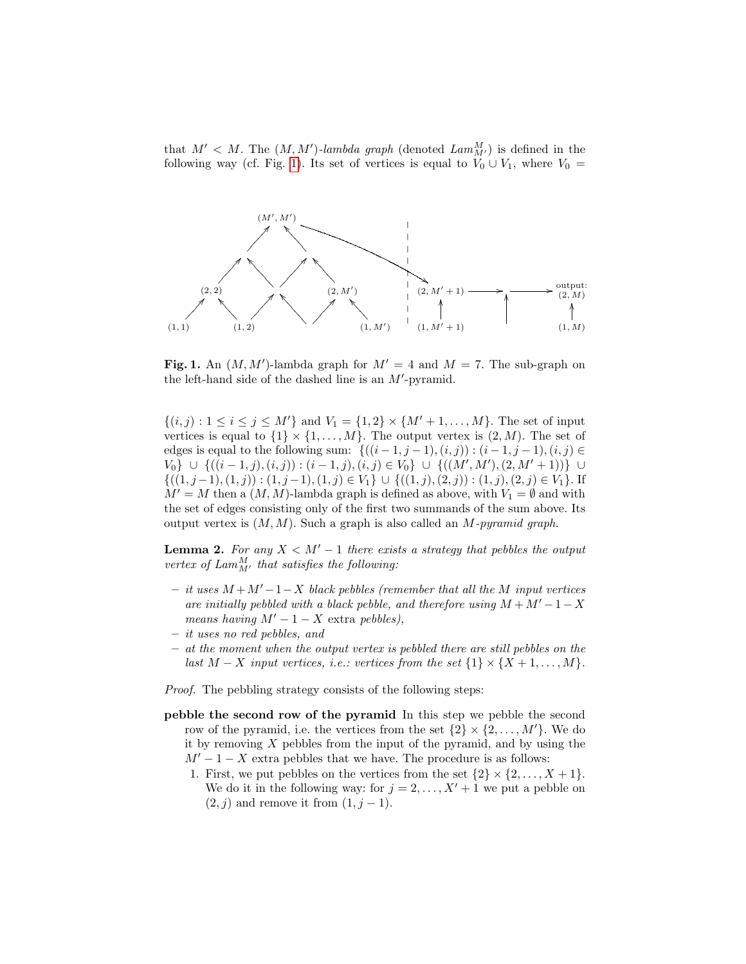that  $M' < M$ . The  $(M, M')$ -lambda graph (denoted  $Lam_{M'}^M$ ) is defined in the following way (cf. Fig. [1\)](#page-10-0). Its set of vertices is equal to  $V_0 \cup V_1$ , where  $V_0 =$ 



<span id="page-10-0"></span>Fig. 1. An  $(M, M')$ -lambda graph for  $M' = 4$  and  $M = 7$ . The sub-graph on the left-hand side of the dashed line is an  $M'$ -pyramid.

 $\{(i, j) : 1 \le i \le j \le M'\}$  and  $V_1 = \{1, 2\} \times \{M' + 1, \ldots, M\}$ . The set of input vertices is equal to  $\{1\} \times \{1, ..., M\}$ . The output vertex is  $(2, M)$ . The set of edges is equal to the following sum:  $\{((i-1, j-1), (i, j)) : (i-1, j-1), (i, j) \in$  $V_0\} \cup \{((i-1,j),(i,j)) : (i-1,j),(i,j) \in V_0\} \cup \{((M',M'),(2,M'+1))\} \cup$  $\{((1, j-1), (1, j)) : (1, j-1), (1, j) \in V_1\} \cup \{((1, j), (2, j)) : (1, j), (2, j) \in V_1\}$ . If  $M' = M$  then a  $(M, M)$ -lambda graph is defined as above, with  $V_1 = \emptyset$  and with the set of edges consisting only of the first two summands of the sum above. Its output vertex is  $(M, M)$ . Such a graph is also called an M-pyramid graph.

<span id="page-10-1"></span>**Lemma 2.** For any  $X < M' - 1$  there exists a strategy that pebbles the output vertex of  $Lam_M^M$ , that satisfies the following:

- $it uses M + M' -1 X black pebbles (remember that all the M input vertices$ are initially pebbled with a black pebble, and therefore using  $M + M' - 1 - X$ means having  $M'-1-X$  extra pebbles),
- it uses no red pebbles, and
- at the moment when the output vertex is pebbled there are still pebbles on the last  $M - X$  input vertices, i.e.: vertices from the set  $\{1\} \times \{X + 1, \ldots, M\}.$

Proof. The pebbling strategy consists of the following steps:

- pebble the second row of the pyramid In this step we pebble the second row of the pyramid, i.e. the vertices from the set  $\{2\} \times \{2, \ldots, M'\}$ . We do it by removing  $X$  pebbles from the input of the pyramid, and by using the  $M'-1-X$  extra pebbles that we have. The procedure is as follows:
	- 1. First, we put pebbles on the vertices from the set  $\{2\} \times \{2, \ldots, X+1\}$ . We do it in the following way: for  $j = 2, \ldots, X' + 1$  we put a pebble on  $(2, j)$  and remove it from  $(1, j - 1)$ .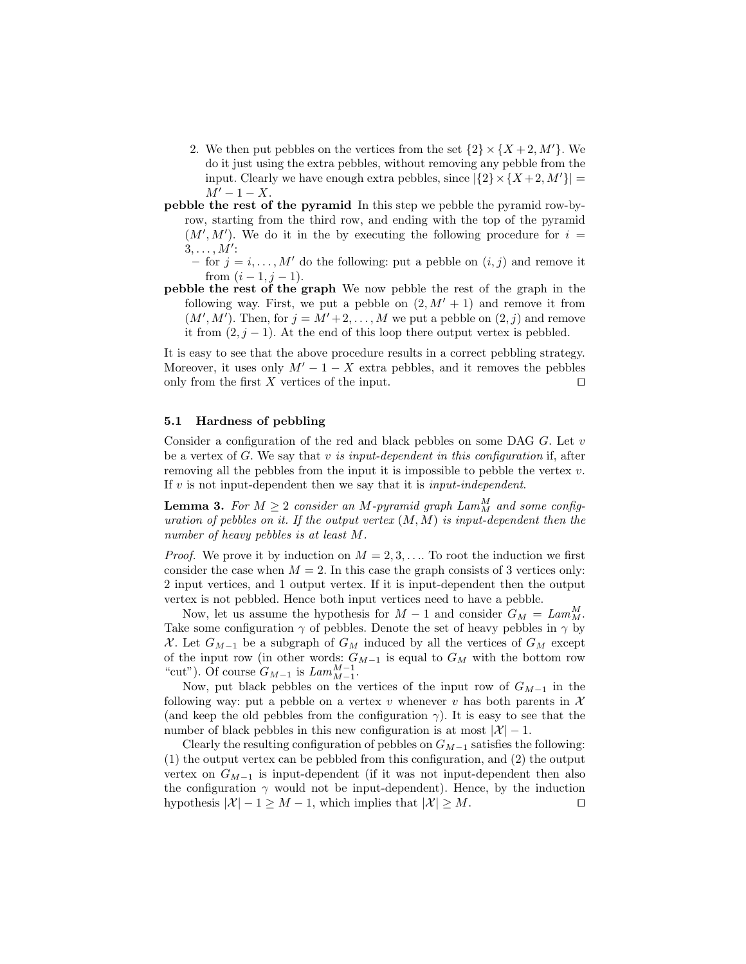- 2. We then put pebbles on the vertices from the set  $\{2\} \times \{X+2, M'\}$ . We do it just using the extra pebbles, without removing any pebble from the input. Clearly we have enough extra pebbles, since  $|\{2\} \times \{X + 2, M'\}| =$  $M' - 1 - X$ .
- pebble the rest of the pyramid In this step we pebble the pyramid row-byrow, starting from the third row, and ending with the top of the pyramid  $(M', M')$ . We do it in the by executing the following procedure for  $i =$  $3, \ldots, M'$ :

– for  $j = i, \ldots, M'$  do the following: put a pebble on  $(i, j)$  and remove it from  $(i - 1, j - 1)$ .

pebble the rest of the graph We now pebble the rest of the graph in the following way. First, we put a pebble on  $(2, M' + 1)$  and remove it from  $(M', M')$ . Then, for  $j = M'+2, \ldots, M$  we put a pebble on  $(2, j)$  and remove it from  $(2, j - 1)$ . At the end of this loop there output vertex is pebbled.

It is easy to see that the above procedure results in a correct pebbling strategy. Moreover, it uses only  $M'-1-X$  extra pebbles, and it removes the pebbles only from the first X vertices of the input.  $\Box$ 

#### 5.1 Hardness of pebbling

Consider a configuration of the red and black pebbles on some DAG  $G$ . Let  $v$ be a vertex of G. We say that v is input-dependent in this configuration if, after removing all the pebbles from the input it is impossible to pebble the vertex  $v$ . If  $v$  is not input-dependent then we say that it is *input-independent*.

<span id="page-11-0"></span>**Lemma 3.** For  $M \geq 2$  consider an M-pyramid graph  $\text{Lam}_{M}^{M}$  and some configuration of pebbles on it. If the output vertex  $(M, M)$  is input-dependent then the number of heavy pebbles is at least M.

*Proof.* We prove it by induction on  $M = 2, 3, \ldots$  To root the induction we first consider the case when  $M = 2$ . In this case the graph consists of 3 vertices only: 2 input vertices, and 1 output vertex. If it is input-dependent then the output vertex is not pebbled. Hence both input vertices need to have a pebble.

Now, let us assume the hypothesis for  $M-1$  and consider  $G_M = \text{Lam}_M^M$ . Take some configuration  $\gamma$  of pebbles. Denote the set of heavy pebbles in  $\gamma$  by X. Let  $G_{M-1}$  be a subgraph of  $G_M$  induced by all the vertices of  $G_M$  except of the input row (in other words:  $G_{M-1}$  is equal to  $G_M$  with the bottom row "cut"). Of course  $G_{M-1}$  is  $Lam_{M-1}^{M-1}$ .

Now, put black pebbles on the vertices of the input row of  $G_{M-1}$  in the following way: put a pebble on a vertex v whenever v has both parents in  $\mathcal{X}$ (and keep the old pebbles from the configuration  $\gamma$ ). It is easy to see that the number of black pebbles in this new configuration is at most  $|\mathcal{X}| - 1$ .

Clearly the resulting configuration of pebbles on  $G_{M-1}$  satisfies the following: (1) the output vertex can be pebbled from this configuration, and (2) the output vertex on  $G_{M-1}$  is input-dependent (if it was not input-dependent then also the configuration  $\gamma$  would not be input-dependent). Hence, by the induction hypothesis  $|\mathcal{X}| - 1 \geq M - 1$ , which implies that  $|\mathcal{X}| \geq M$ .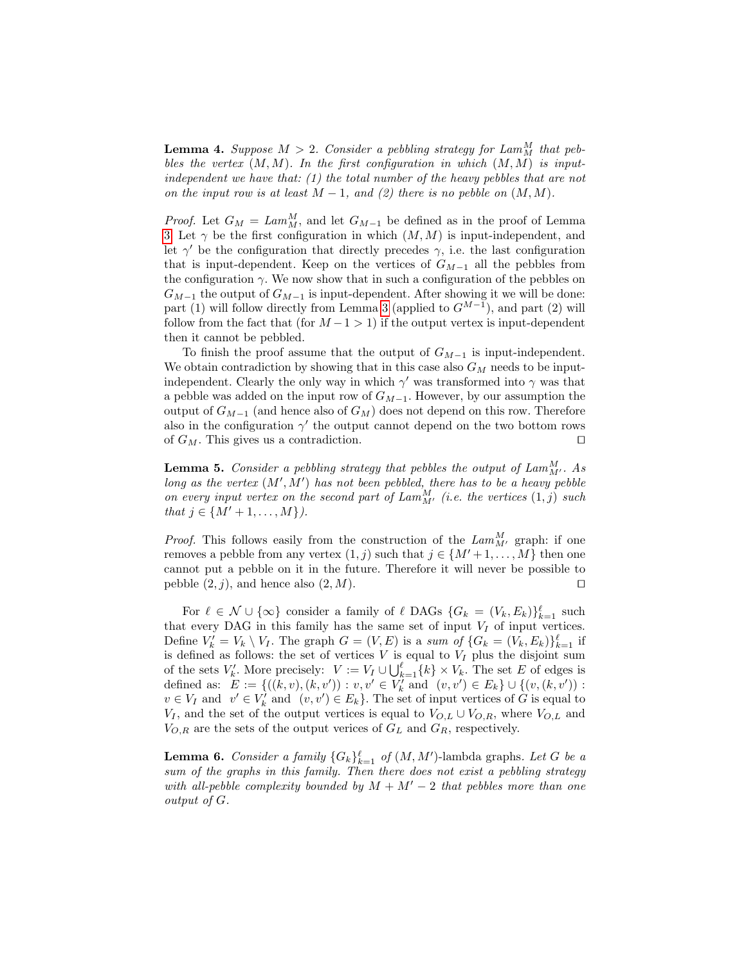<span id="page-12-0"></span>**Lemma 4.** Suppose  $M > 2$ . Consider a pebbling strategy for  $Lam_M^M$  that pebbles the vertex  $(M, M)$ . In the first configuration in which  $(M, M)$  is inputindependent we have that: (1) the total number of the heavy pebbles that are not on the input row is at least  $M-1$ , and (2) there is no pebble on  $(M, M)$ .

*Proof.* Let  $G_M = \text{Lam}_M^M$ , and let  $G_{M-1}$  be defined as in the proof of Lemma [3.](#page-11-0) Let  $\gamma$  be the first configuration in which  $(M, M)$  is input-independent, and let  $\gamma'$  be the configuration that directly precedes  $\gamma$ , i.e. the last configuration that is input-dependent. Keep on the vertices of  $G_{M-1}$  all the pebbles from the configuration  $\gamma$ . We now show that in such a configuration of the pebbles on  $G_{M-1}$  the output of  $G_{M-1}$  is input-dependent. After showing it we will be done: part (1) will follow directly from Lemma [3](#page-11-0) (applied to  $G^{M-1}$ ), and part (2) will follow from the fact that (for  $M-1>1$ ) if the output vertex is input-dependent then it cannot be pebbled.

To finish the proof assume that the output of  $G_{M-1}$  is input-independent. We obtain contradiction by showing that in this case also  $G_M$  needs to be inputindependent. Clearly the only way in which  $\gamma'$  was transformed into  $\gamma$  was that a pebble was added on the input row of  $G_{M-1}$ . However, by our assumption the output of  $G_{M-1}$  (and hence also of  $G_M$ ) does not depend on this row. Therefore also in the configuration  $\gamma'$  the output cannot depend on the two bottom rows of  $G_M$ . This gives us a contradiction.

<span id="page-12-1"></span>**Lemma 5.** Consider a pebbling strategy that pebbles the output of  $\text{Lam}_{M'}^M$ . As long as the vertex  $(M', M')$  has not been pebbled, there has to be a heavy pebble on every input vertex on the second part of  $Lam_{M'}^M$  (i.e. the vertices  $(1, j)$  such that  $j \in \{M' + 1, \ldots, M\}$ .

*Proof.* This follows easily from the construction of the  $Lam_{M'}^M$  graph: if one removes a pebble from any vertex  $(1, j)$  such that  $j \in \{M' + 1, \ldots, M\}$  then one cannot put a pebble on it in the future. Therefore it will never be possible to pebble  $(2, j)$ , and hence also  $(2, M)$ .

For  $\ell \in \mathcal{N} \cup \{\infty\}$  consider a family of  $\ell$  DAGs  $\{G_k = (V_k, E_k)\}_{k=1}^{\ell}$  such that every DAG in this family has the same set of input  $V_I$  of input vertices. Define  $V'_k = V_k \setminus V_I$ . The graph  $G = (V, E)$  is a sum of  $\{G_k = (V_k, E_k)\}_{k=1}^{\ell}$  if is defined as follows: the set of vertices  $V$  is equal to  $V_I$  plus the disjoint sum of the sets  $V'_k$ . More precisely:  $V := V_I \cup \bigcup_{k=1}^{\ell} \{k\} \times V_k$ . The set E of edges is defined as:  $E := \{((k, v), (k, v')) : v, v' \in V_k^{\gamma} \text{ and } (v, v') \in E_k\} \cup \{(v, (k, v')) :$  $v \in V_I$  and  $v' \in V'_k$  and  $(v, v') \in E_k$ . The set of input vertices of G is equal to  $V_I$ , and the set of the output vertices is equal to  $V_{O,L} \cup V_{O,R}$ , where  $V_{O,L}$  and  $V_{O,R}$  are the sets of the output verices of  $G_L$  and  $G_R$ , respectively.

<span id="page-12-2"></span>**Lemma 6.** Consider a family  ${G_k}_{k=1}^{\ell}$  of  $(M, M')$ -lambda graphs. Let G be a sum of the graphs in this family. Then there does not exist a pebbling strategy with all-pebble complexity bounded by  $M + M' - 2$  that pebbles more than one output of G.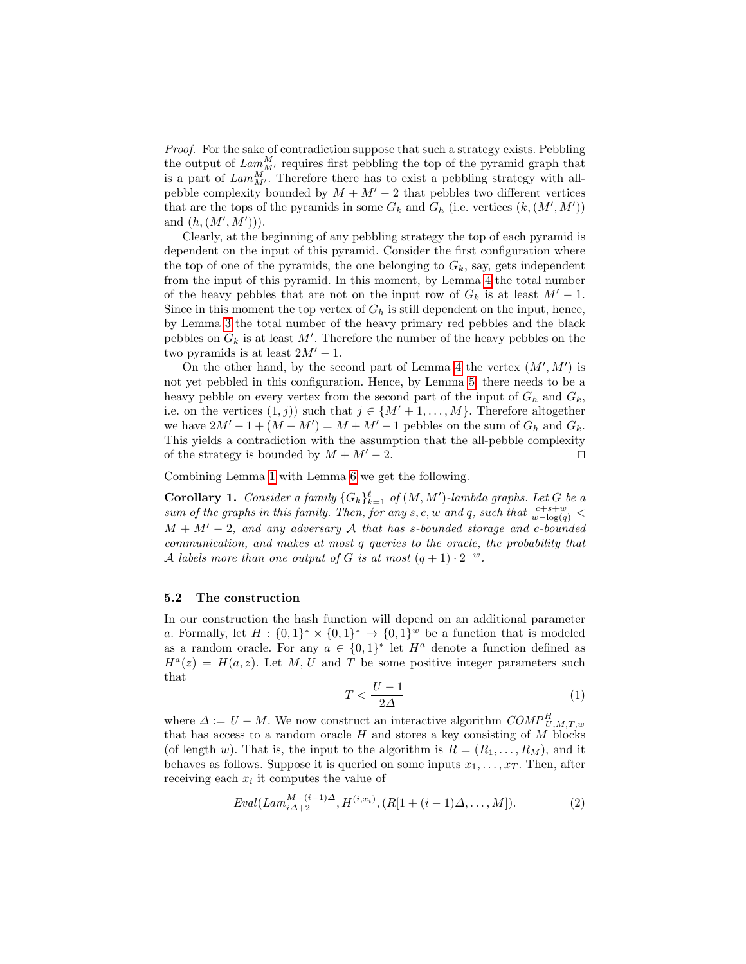Proof. For the sake of contradiction suppose that such a strategy exists. Pebbling the output of  $\text{Lam}_{M'}^M$  requires first pebbling the top of the pyramid graph that is a part of  $Lam_{M'}^{M'}$ . Therefore there has to exist a pebbling strategy with allpebble complexity bounded by  $M + M' - 2$  that pebbles two different vertices that are the tops of the pyramids in some  $G_k$  and  $G_h$  (i.e. vertices  $(k, (M', M'))$ ) and  $(h, (M', M'))$ .

Clearly, at the beginning of any pebbling strategy the top of each pyramid is dependent on the input of this pyramid. Consider the first configuration where the top of one of the pyramids, the one belonging to  $G_k$ , say, gets independent from the input of this pyramid. In this moment, by Lemma [4](#page-12-0) the total number of the heavy pebbles that are not on the input row of  $G_k$  is at least  $M'-1$ . Since in this moment the top vertex of  $G_h$  is still dependent on the input, hence, by Lemma [3](#page-11-0) the total number of the heavy primary red pebbles and the black pebbles on  $G_k$  is at least  $M'$ . Therefore the number of the heavy pebbles on the two pyramids is at least  $2M'-1$ .

On the other hand, by the second part of Lemma [4](#page-12-0) the vertex  $(M', M')$  is not yet pebbled in this configuration. Hence, by Lemma [5,](#page-12-1) there needs to be a heavy pebble on every vertex from the second part of the input of  $G_h$  and  $G_k$ , i.e. on the vertices  $(1, j)$  such that  $j \in \{M' + 1, \ldots, M\}$ . Therefore altogether we have  $2M' - 1 + (M - M') = M + M' - 1$  pebbles on the sum of  $G_h$  and  $G_k$ . This yields a contradiction with the assumption that the all-pebble complexity of the strategy is bounded by  $M + M' - 2$ .

Combining Lemma [1](#page-9-1) with Lemma [6](#page-12-2) we get the following.

<span id="page-13-1"></span>**Corollary 1.** Consider a family  ${G_k}_{k=1}^{\ell}$  of  $(M, M')$ -lambda graphs. Let G be a sum of the graphs in this family. Then, for any s, c, w and q, such that  $\frac{c+s+w}{w-\log(q)}$  <  $M + M' - 2$ , and any adversary A that has s-bounded storage and c-bounded communication, and makes at most q queries to the oracle, the probability that A labels more than one output of G is at most  $(q + 1) \cdot 2^{-w}$ .

#### 5.2 The construction

In our construction the hash function will depend on an additional parameter a. Formally, let  $H: \{0,1\}^* \times \{0,1\}^* \rightarrow \{0,1\}^w$  be a function that is modeled as a random oracle. For any  $a \in \{0,1\}^*$  let  $H^a$  denote a function defined as  $H^{a}(z) = H(a, z)$ . Let M, U and T be some positive integer parameters such that

$$
T < \frac{U - 1}{2\Delta} \tag{1}
$$

where  $\Delta := U - M$ . We now construct an interactive algorithm  $\mathit{COMP}_{U,M,T,w}^H$ that has access to a random oracle  $H$  and stores a key consisting of  $M$  blocks (of length w). That is, the input to the algorithm is  $R = (R_1, \ldots, R_M)$ , and it behaves as follows. Suppose it is queried on some inputs  $x_1, \ldots, x_T$ . Then, after receiving each  $x_i$  it computes the value of

<span id="page-13-0"></span>
$$
Eval(Lam_{i\Delta+2}^{M-(i-1)\Delta}, H^{(i,x_i)}, (R[1+(i-1)\Delta, \dots, M]).
$$
 (2)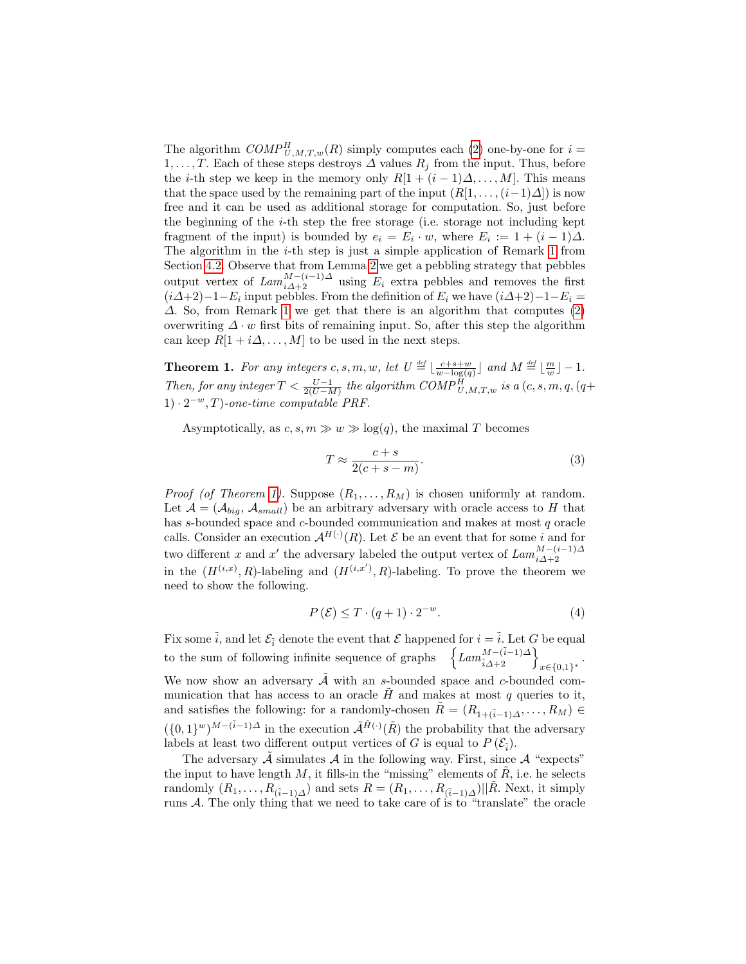The algorithm  $COMP_{U,M,T,w}^H(R)$  simply computes each [\(2\)](#page-13-0) one-by-one for  $i=$  $1, \ldots, T$ . Each of these steps destroys  $\Delta$  values  $R_j$  from the input. Thus, before the *i*-th step we keep in the memory only  $R[1 + (i - 1)\Delta, ..., M]$ . This means that the space used by the remaining part of the input  $(R[1, \ldots, (i-1)\Delta])$  is now free and it can be used as additional storage for computation. So, just before the beginning of the  $i$ -th step the free storage (i.e. storage not including kept fragment of the input) is bounded by  $e_i = E_i \cdot w$ , where  $E_i := 1 + (i - 1)\Delta$ . The algorithm in the  $i$ -th step is just a simple application of Remark [1](#page-9-2) from Section [4.2.](#page-8-0) Observe that from Lemma [2](#page-10-1) we get a pebbling strategy that pebbles output vertex of  $Lam_{i\Delta+2}^{M-(i-1)\Delta}$  using  $E_i$  extra pebbles and removes the first  $(i\Delta+2)-1-E_i$  input pebbles. From the definition of  $E_i$  we have  $(i\Delta+2)-1-E_i$  $\Delta$ . So, from Remark [1](#page-9-2) we get that there is an algorithm that computes [\(2\)](#page-13-0) overwriting  $\Delta \cdot w$  first bits of remaining input. So, after this step the algorithm can keep  $R[1 + i\Delta, \ldots, M]$  to be used in the next steps.

<span id="page-14-1"></span>**Theorem 1.** For any integers  $c, s, m, w$ , let  $U \stackrel{\text{\it def}}{=} \lfloor \frac{c+s+w}{w-\log(q)} \rfloor$  and  $M \stackrel{\text{\it def}}{=} \lfloor \frac{m}{w} \rfloor - 1$ . Then, for any integer  $T < \frac{U-1}{2(U-M)}$  the algorithm  $COMP_{U,M,T,w}^H$  is a  $(c, s, m, q, (q+$  $1) \cdot 2^{-w}$ , T)-one-time computable PRF.

Asymptotically, as  $c, s, m \gg w \gg \log(q)$ , the maximal T becomes

<span id="page-14-0"></span>
$$
T \approx \frac{c+s}{2(c+s-m)}.\tag{3}
$$

*Proof (of Theorem [1\)](#page-14-1).* Suppose  $(R_1, \ldots, R_M)$  is chosen uniformly at random. Let  $A = (A_{big}, A_{small})$  be an arbitrary adversary with oracle access to H that has s-bounded space and  $c$ -bounded communication and makes at most  $q$  oracle calls. Consider an execution  $\mathcal{A}^{H(\cdot)}(R)$ . Let  $\mathcal E$  be an event that for some i and for two different x and x' the adversary labeled the output vertex of  $\text{Lam}_{i\Delta+2}^{M-(i-1)\Delta}$ in the  $(H^{(i,x)}, R)$ -labeling and  $(H^{(i,x')}, R)$ -labeling. To prove the theorem we need to show the following.

<span id="page-14-2"></span>
$$
P\left(\mathcal{E}\right) \le T \cdot (q+1) \cdot 2^{-w}.\tag{4}
$$

Fix some  $\tilde{i}$ , and let  $\mathcal{E}_{\tilde{i}}$  denote the event that  $\mathcal E$  happened for  $i = \tilde{i}$ . Let  $G$  be equal to the sum of following infinite sequence of graphs  $\,$  $\langle Lam_{\tilde{i}\Delta+2}^{M-(\tilde{i}-1)\Delta}\right\}_{x\in\{0,1\}^*}.$ We now show an adversary  $\tilde{\mathcal{A}}$  with an s-bounded space and c-bounded communication that has access to an oracle  $\tilde{H}$  and makes at most q queries to it, and satisfies the following: for a randomly-chosen  $R = (R_{1+(\tilde{i}-1)\Delta}, \ldots, R_M)$  $({0,1}^w)^{M-(\tilde{i}-1)\Delta}$  in the execution  $\tilde{\mathcal{A}}^{\tilde{H}(\cdot)}(\tilde{R})$  the probability that the adversary labels at least two different output vertices of G is equal to  $P(\mathcal{E}_{\tilde{i}})$ .

The adversary  $\mathcal A$  simulates  $\mathcal A$  in the following way. First, since  $\mathcal A$  "expects" the input to have length M, it fills-in the "missing" elements of  $R$ , i.e. he selects randomly  $(R_1, \ldots, R_{(\tilde{i}-1)\Delta})$  and sets  $R = (R_1, \ldots, R_{(\tilde{i}-1)\Delta}) || \tilde{R}$ . Next, it simply runs A. The only thing that we need to take care of is to "translate" the oracle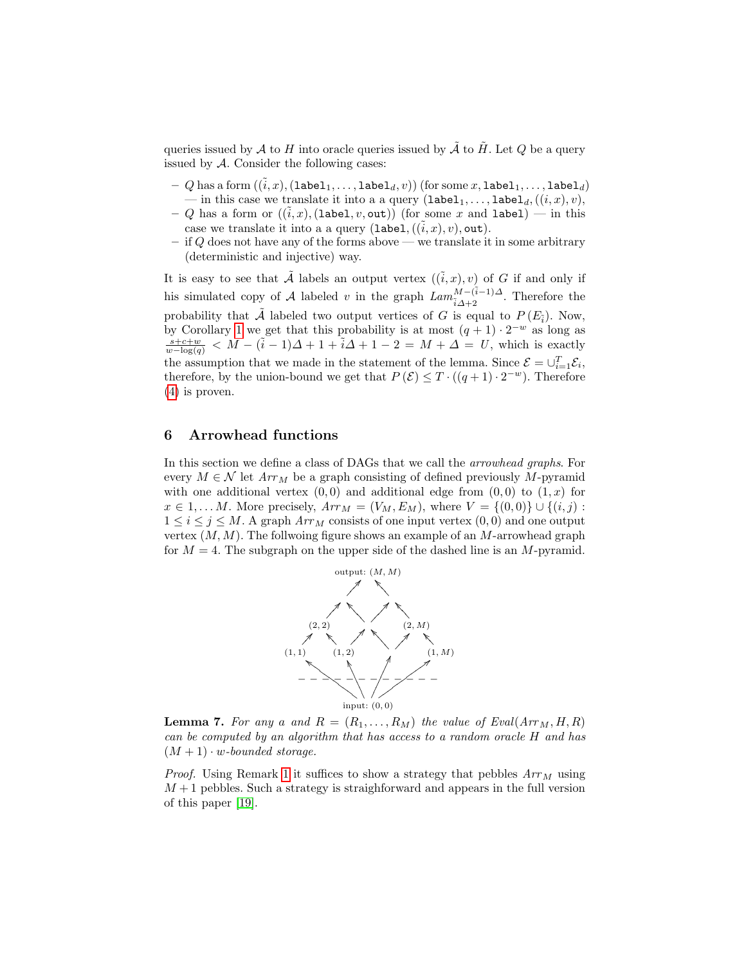queries issued by A to H into oracle queries issued by  $\tilde{\mathcal{A}}$  to  $\tilde{H}$ . Let Q be a query issued by  $A$ . Consider the following cases:

- $Q$  has a form  $((i, x), (label_1, \ldots, label_d, v))$  (for some  $x,$  label $_1, \ldots,$  label $_d)$ — in this case we translate it into a a query  $(\texttt{label}_1, \ldots, \texttt{label}_d, ((i, x), v),$
- Q has a form or  $((\tilde{i}, x),$ (label, v, out)) (for some x and label) in this case we translate it into a a query  $(1$ abel,  $((i, x), v)$ , out).
- $-$  if Q does not have any of the forms above we translate it in some arbitrary (deterministic and injective) way.

It is easy to see that  $\tilde{A}$  labels an output vertex  $((\tilde{i}, x), v)$  of G if and only if his simulated copy of A labeled v in the graph  $Lam_{\tilde{i}\Delta+2}^{M-(\tilde{i}-1)\Delta}$ . Therefore the probability that  $\tilde{A}$  labeled two output vertices of G is equal to  $P(E_{\tilde{i}})$ . Now, by Corollary [1](#page-13-1) we get that this probability is at most  $(q + 1) \cdot 2^{-w}$  as long as  $\frac{s+c+w}{w-\log(q)}$  <  $M-(\tilde{i}-1)\Delta+1+\tilde{i}\Delta+1-2=M+\Delta=U$ , which is exactly the assumption that we made in the statement of the lemma. Since  $\mathcal{E} = \cup_{i=1}^T \mathcal{E}_i$ , therefore, by the union-bound we get that  $P(\mathcal{E}) \leq T \cdot ((q+1) \cdot 2^{-w})$ . Therefore [\(4\)](#page-14-2) is proven.

## <span id="page-15-0"></span>6 Arrowhead functions

In this section we define a class of DAGs that we call the arrowhead graphs. For every  $M \in \mathcal{N}$  let  $Arr_M$  be a graph consisting of defined previously M-pyramid with one additional vertex  $(0,0)$  and additional edge from  $(0,0)$  to  $(1,x)$  for  $x \in 1, \ldots M$ . More precisely,  $Arr_M = (V_M, E_M)$ , where  $V = \{(0,0)\} \cup \{(i,j):$  $1 \leq i \leq j \leq M$ . A graph  $Arr_M$  consists of one input vertex  $(0,0)$  and one output vertex  $(M, M)$ . The follwoing figure shows an example of an M-arrowhead graph for  $M = 4$ . The subgraph on the upper side of the dashed line is an M-pyramid.



<span id="page-15-1"></span>**Lemma 7.** For any a and  $R = (R_1, \ldots, R_M)$  the value of Eval( $Arr_M, H, R$ ) can be computed by an algorithm that has access to a random oracle H and has  $(M + 1) \cdot w$ -bounded storage.

*Proof.* Using Remark [1](#page-9-2) it suffices to show a strategy that pebbles  $Arr_M$  using  $M+1$  pebbles. Such a strategy is straighforward and appears in the full version of this paper [\[19\]](#page-17-25).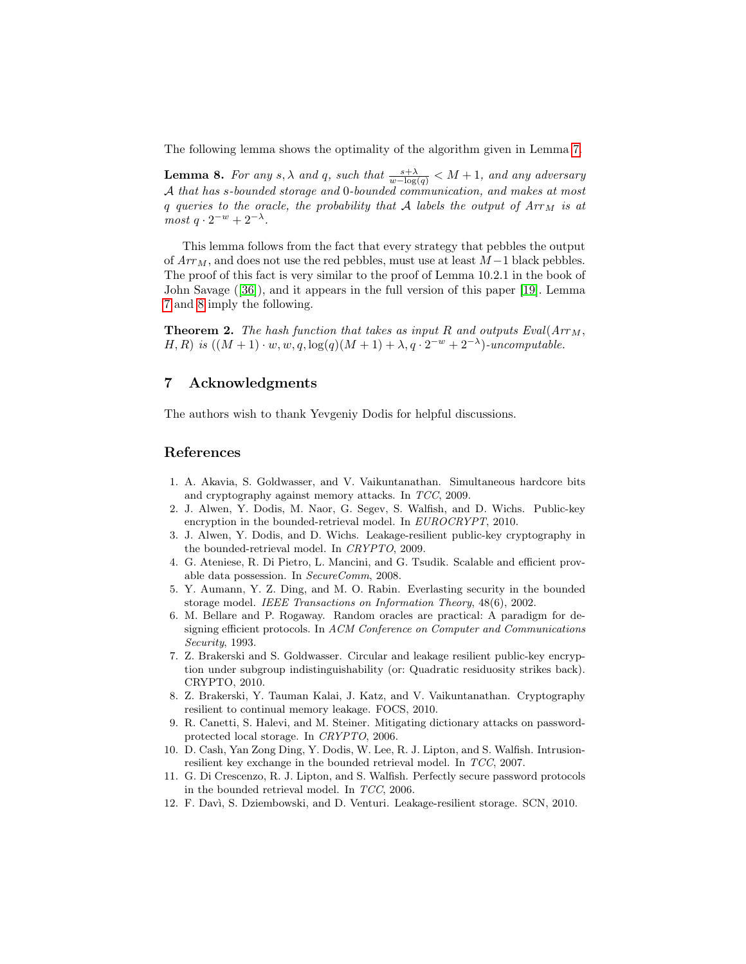<span id="page-16-12"></span>The following lemma shows the optimality of the algorithm given in Lemma [7.](#page-15-1)

**Lemma 8.** For any s,  $\lambda$  and q, such that  $\frac{s+\lambda}{w-\log(q)} < M+1$ , and any adversary A that has s-bounded storage and 0-bounded communication, and makes at most q queries to the oracle, the probability that A labels the output of  $Arr_M$  is at  $most q \cdot 2^{-w} + 2^{-\lambda}.$ 

This lemma follows from the fact that every strategy that pebbles the output of  $Arr_M$ , and does not use the red pebbles, must use at least  $M-1$  black pebbles. The proof of this fact is very similar to the proof of Lemma 10.2.1 in the book of John Savage ([\[36\]](#page-17-20)), and it appears in the full version of this paper [\[19\]](#page-17-25). Lemma [7](#page-15-1) and [8](#page-16-12) imply the following.

**Theorem 2.** The hash function that takes as input R and outputs  $Eval(Arr_M,$ H, R) is  $((M+1)\cdot w, w, q, \log(q)(M+1) + \lambda, q\cdot 2^{-w} + 2^{-\lambda})$ -uncomputable.

## 7 Acknowledgments

The authors wish to thank Yevgeniy Dodis for helpful discussions.

## References

- <span id="page-16-0"></span>1. A. Akavia, S. Goldwasser, and V. Vaikuntanathan. Simultaneous hardcore bits and cryptography against memory attacks. In TCC, 2009.
- <span id="page-16-7"></span>2. J. Alwen, Y. Dodis, M. Naor, G. Segev, S. Walfish, and D. Wichs. Public-key encryption in the bounded-retrieval model. In EUROCRYPT, 2010.
- <span id="page-16-6"></span>3. J. Alwen, Y. Dodis, and D. Wichs. Leakage-resilient public-key cryptography in the bounded-retrieval model. In CRYPTO, 2009.
- <span id="page-16-9"></span>4. G. Ateniese, R. Di Pietro, L. Mancini, and G. Tsudik. Scalable and efficient provable data possession. In SecureComm, 2008.
- <span id="page-16-10"></span>5. Y. Aumann, Y. Z. Ding, and M. O. Rabin. Everlasting security in the bounded storage model. IEEE Transactions on Information Theory, 48(6), 2002.
- <span id="page-16-11"></span>6. M. Bellare and P. Rogaway. Random oracles are practical: A paradigm for designing efficient protocols. In ACM Conference on Computer and Communications Security, 1993.
- <span id="page-16-3"></span>7. Z. Brakerski and S. Goldwasser. Circular and leakage resilient public-key encryption under subgroup indistinguishability (or: Quadratic residuosity strikes back). CRYPTO, 2010.
- <span id="page-16-2"></span>8. Z. Brakerski, Y. Tauman Kalai, J. Katz, and V. Vaikuntanathan. Cryptography resilient to continual memory leakage. FOCS, 2010.
- <span id="page-16-8"></span>9. R. Canetti, S. Halevi, and M. Steiner. Mitigating dictionary attacks on passwordprotected local storage. In CRYPTO, 2006.
- <span id="page-16-5"></span>10. D. Cash, Yan Zong Ding, Y. Dodis, W. Lee, R. J. Lipton, and S. Walfish. Intrusionresilient key exchange in the bounded retrieval model. In TCC, 2007.
- <span id="page-16-4"></span>11. G. Di Crescenzo, R. J. Lipton, and S. Walfish. Perfectly secure password protocols in the bounded retrieval model. In TCC, 2006.
- <span id="page-16-1"></span>12. F. Dav`ı, S. Dziembowski, and D. Venturi. Leakage-resilient storage. SCN, 2010.